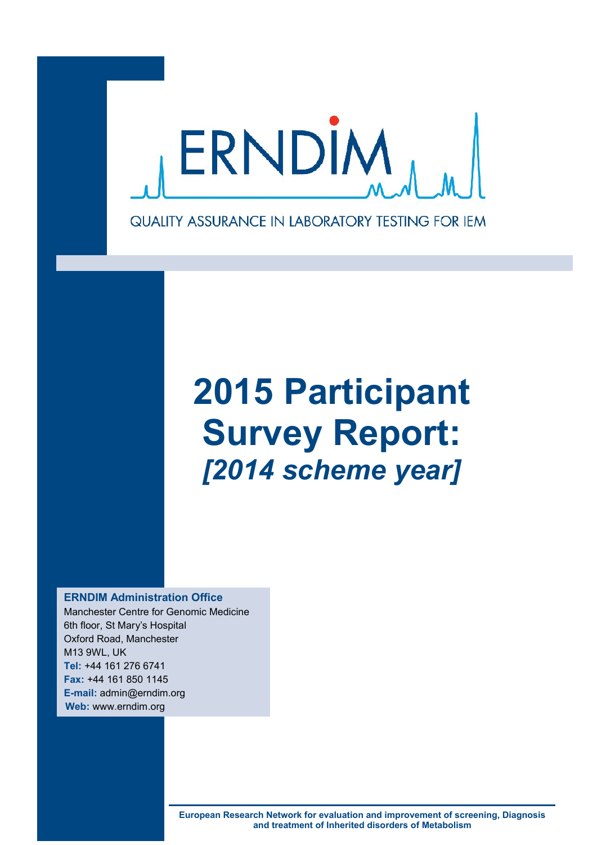

# **2015 Participant Survey Report:** *[2014 scheme year]*

**ERNDIM Administration Office**

Manchester Centre for Genomic Medicine 6th floor, St Mary's Hospital Oxford Road, Manchester M13 9WL, UK **Tel:** +44 161 276 6741 **Fax:** +44 161 850 1145 **E-mail:** admin@erndim.org **Web:** www.erndim.org

> **European Research Network for evaluation and improvement of screening, Diagnosis and treatment of Inherited disorders of Metabolism**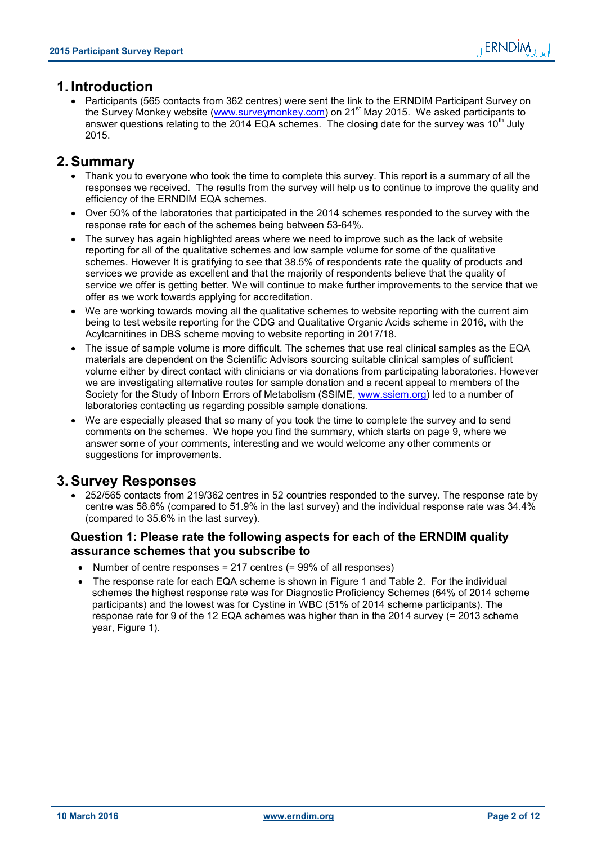### **1. Introduction**

 Participants (565 contacts from 362 centres) were sent the link to the ERNDIM Participant Survey on the Survey Monkey website (www.surveymonkey.com) on 21st May 2015. We asked participants to answer questions relating to the 2014 EQA schemes. The closing date for the survey was 10<sup>th</sup> July 2015.

### **2. Summary**

- Thank you to everyone who took the time to complete this survey. This report is a summary of all the responses we received. The results from the survey will help us to continue to improve the quality and efficiency of the ERNDIM EQA schemes.
- Over 50% of the laboratories that participated in the 2014 schemes responded to the survey with the response rate for each of the schemes being between 53-64%.
- The survey has again highlighted areas where we need to improve such as the lack of website reporting for all of the qualitative schemes and low sample volume for some of the qualitative schemes. However It is gratifying to see that 38.5% of respondents rate the quality of products and services we provide as excellent and that the majority of respondents believe that the quality of service we offer is getting better. We will continue to make further improvements to the service that we offer as we work towards applying for accreditation.
- We are working towards moving all the qualitative schemes to website reporting with the current aim being to test website reporting for the CDG and Qualitative Organic Acids scheme in 2016, with the Acylcarnitines in DBS scheme moving to website reporting in 2017/18.
- The issue of sample volume is more difficult. The schemes that use real clinical samples as the EQA materials are dependent on the Scientific Advisors sourcing suitable clinical samples of sufficient volume either by direct contact with clinicians or via donations from participating laboratories. However we are investigating alternative routes for sample donation and a recent appeal to members of the Society for the Study of Inborn Errors of Metabolism (SSIME, www.ssiem.org) led to a number of laboratories contacting us regarding possible sample donations.
- We are especially pleased that so many of you took the time to complete the survey and to send comments on the schemes. We hope you find the summary, which starts on page 9, where we answer some of your comments, interesting and we would welcome any other comments or suggestions for improvements.

### **3. Survey Responses**

• 252/565 contacts from 219/362 centres in 52 countries responded to the survey. The response rate by centre was 58.6% (compared to 51.9% in the last survey) and the individual response rate was 34.4% (compared to 35.6% in the last survey).

#### **Question 1: Please rate the following aspects for each of the ERNDIM quality assurance schemes that you subscribe to**

- Number of centre responses = 217 centres  $(= 99\% \text{ of all responses})$
- The response rate for each EQA scheme is shown in Figure 1 and Table 2. For the individual schemes the highest response rate was for Diagnostic Proficiency Schemes (64% of 2014 scheme participants) and the lowest was for Cystine in WBC (51% of 2014 scheme participants). The response rate for 9 of the 12 EQA schemes was higher than in the 2014 survey (= 2013 scheme year, Figure 1).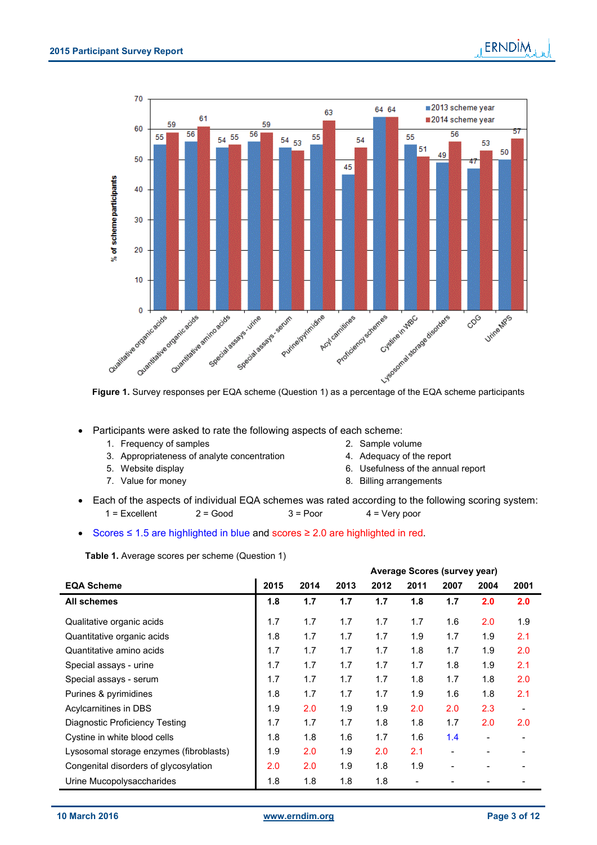

Participants were asked to rate the following aspects of each scheme:

- 1. Frequency of samples 2. Sample volume
- 3. Appropriateness of analyte concentration 4. Adequacy of the report
- 
- 
- 
- 
- 5. Website display 6. Usefulness of the annual report
- 7. Value for money **8. Billing arrangements**
- Each of the aspects of individual EQA schemes was rated according to the following scoring system:  $1 =$  Excellent 2 = Good  $3 =$  Poor  $4 =$  Very poor

Scores ≤ 1.5 are highlighted in blue and scores ≥ 2.0 are highlighted in red.

|                                         |      |      |      |      |      | <b>Average Scores (survey year)</b> |      |      |
|-----------------------------------------|------|------|------|------|------|-------------------------------------|------|------|
| <b>EQA Scheme</b>                       | 2015 | 2014 | 2013 | 2012 | 2011 | 2007                                | 2004 | 2001 |
| All schemes                             | 1.8  | 1.7  | 1.7  | 1.7  | 1.8  | 1.7                                 | 2.0  | 2.0  |
| Qualitative organic acids               | 1.7  | 1.7  | 1.7  | 1.7  | 1.7  | 1.6                                 | 2.0  | 1.9  |
| Quantitative organic acids              | 1.8  | 1.7  | 1.7  | 1.7  | 1.9  | 1.7                                 | 1.9  | 2.1  |
| Quantitative amino acids                | 1.7  | 1.7  | 1.7  | 1.7  | 1.8  | 1.7                                 | 1.9  | 2.0  |
| Special assays - urine                  | 1.7  | 1.7  | 1.7  | 1.7  | 1.7  | 1.8                                 | 1.9  | 2.1  |
| Special assays - serum                  | 1.7  | 1.7  | 1.7  | 1.7  | 1.8  | 1.7                                 | 1.8  | 2.0  |
| Purines & pyrimidines                   | 1.8  | 1.7  | 1.7  | 1.7  | 1.9  | 1.6                                 | 1.8  | 2.1  |
| Acylcarnitines in DBS                   | 1.9  | 2.0  | 1.9  | 1.9  | 2.0  | 2.0                                 | 2.3  |      |
| Diagnostic Proficiency Testing          | 1.7  | 1.7  | 1.7  | 1.8  | 1.8  | 1.7                                 | 2.0  | 2.0  |
| Cystine in white blood cells            | 1.8  | 1.8  | 1.6  | 1.7  | 1.6  | 1.4                                 | -    |      |
| Lysosomal storage enzymes (fibroblasts) | 1.9  | 2.0  | 1.9  | 2.0  | 2.1  |                                     | -    |      |
| Congenital disorders of glycosylation   | 2.0  | 2.0  | 1.9  | 1.8  | 1.9  |                                     | -    |      |
| Urine Mucopolysaccharides               | 1.8  | 1.8  | 1.8  | 1.8  |      |                                     |      |      |

**Table 1.** Average scores per scheme (Question 1)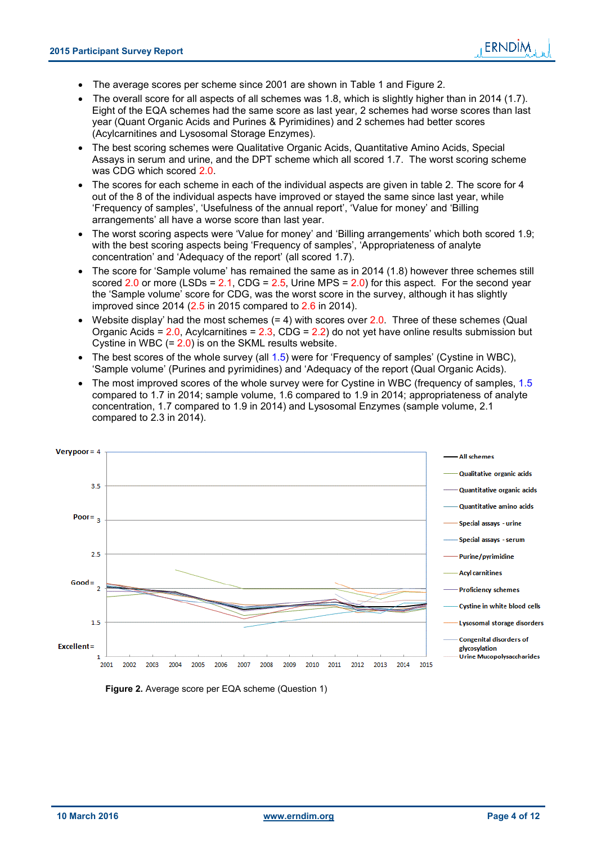- The average scores per scheme since 2001 are shown in Table 1 and Figure 2.
- The overall score for all aspects of all schemes was 1.8, which is slightly higher than in 2014 (1.7). Eight of the EQA schemes had the same score as last year, 2 schemes had worse scores than last year (Quant Organic Acids and Purines & Pyrimidines) and 2 schemes had better scores (Acylcarnitines and Lysosomal Storage Enzymes).
- The best scoring schemes were Qualitative Organic Acids, Quantitative Amino Acids, Special Assays in serum and urine, and the DPT scheme which all scored 1.7. The worst scoring scheme was CDG which scored 2.0.
- The scores for each scheme in each of the individual aspects are given in table 2. The score for 4 out of the 8 of the individual aspects have improved or stayed the same since last year, while 'Frequency of samples', 'Usefulness of the annual report', 'Value for money' and 'Billing arrangements' all have a worse score than last year.
- The worst scoring aspects were 'Value for money' and 'Billing arrangements' which both scored 1.9; with the best scoring aspects being 'Frequency of samples', 'Appropriateness of analyte concentration' and 'Adequacy of the report' (all scored 1.7).
- The score for 'Sample volume' has remained the same as in 2014 (1.8) however three schemes still scored 2.0 or more  $(LSDs = 2.1, CDG = 2.5, Urine MPS = 2.0)$  for this aspect. For the second year the 'Sample volume' score for CDG, was the worst score in the survey, although it has slightly improved since 2014 (2.5 in 2015 compared to 2.6 in 2014).
- Website display' had the most schemes  $(= 4)$  with scores over  $2.0$ . Three of these schemes (Qual Organic Acids =  $2.0$ , Acylcarnitines =  $2.3$ , CDG =  $2.2$ ) do not yet have online results submission but Cystine in WBC (= 2.0) is on the SKML results website.
- $\bullet$  The best scores of the whole survey (all 1.5) were for 'Frequency of samples' (Cystine in WBC), 'Sample volume' (Purines and pyrimidines) and 'Adequacy of the report (Qual Organic Acids).
- The most improved scores of the whole survey were for Cystine in WBC (frequency of samples, 1.5 compared to 1.7 in 2014; sample volume, 1.6 compared to 1.9 in 2014; appropriateness of analyte concentration, 1.7 compared to 1.9 in 2014) and Lysosomal Enzymes (sample volume, 2.1 compared to 2.3 in 2014).



 **Figure 2.** Average score per EQA scheme (Question 1)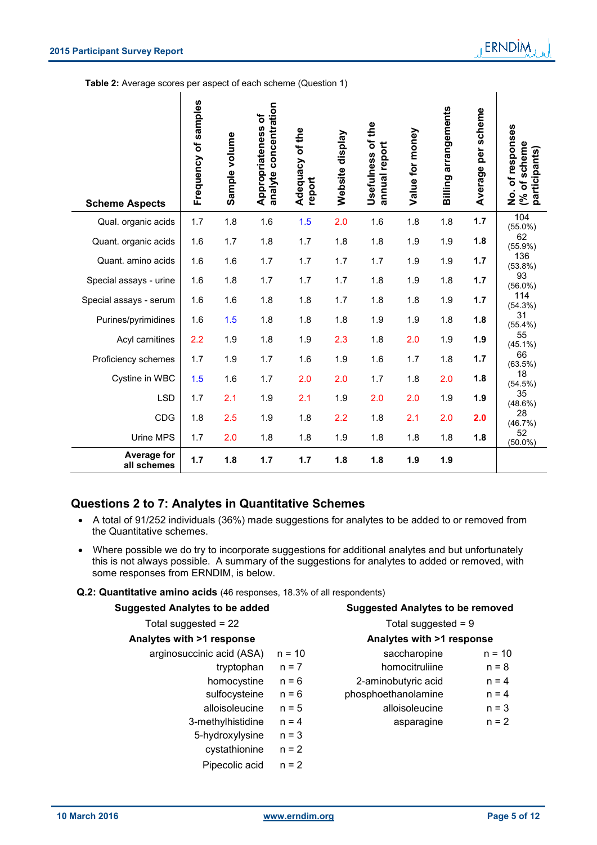**Table 2:** Average scores per aspect of each scheme (Question 1)

| <b>Scheme Aspects</b>             | Frequency of samples | Sample volume | analyte concentration<br>Appropriateness of | Adequacy of the<br>report | Website display | Usefulness of the<br>annual report | Value for money | <b>Billing arrangements</b> | Average per scheme | No. of responses<br>scheme<br>participants)<br>đ<br>ల్ |
|-----------------------------------|----------------------|---------------|---------------------------------------------|---------------------------|-----------------|------------------------------------|-----------------|-----------------------------|--------------------|--------------------------------------------------------|
| Qual. organic acids               | 1.7                  | 1.8           | 1.6                                         | 1.5                       | 2.0             | 1.6                                | 1.8             | 1.8                         | 1.7                | 104<br>$(55.0\%)$                                      |
| Quant. organic acids              | 1.6                  | 1.7           | 1.8                                         | 1.7                       | 1.8             | 1.8                                | 1.9             | 1.9                         | 1.8                | 62<br>$(55.9\%)$                                       |
| Quant. amino acids                | 1.6                  | 1.6           | 1.7                                         | 1.7                       | 1.7             | 1.7                                | 1.9             | 1.9                         | 1.7                | 136<br>$(53.8\%)$                                      |
| Special assays - urine            | 1.6                  | 1.8           | 1.7                                         | 1.7                       | 1.7             | 1.8                                | 1.9             | 1.8                         | 1.7                | 93<br>$(56.0\%)$                                       |
| Special assays - serum            | 1.6                  | 1.6           | 1.8                                         | 1.8                       | 1.7             | 1.8                                | 1.8             | 1.9                         | 1.7                | 114<br>(54.3%)                                         |
| Purines/pyrimidines               | 1.6                  | 1.5           | 1.8                                         | 1.8                       | 1.8             | 1.9                                | 1.9             | 1.8                         | 1.8                | 31<br>$(55.4\%)$                                       |
| Acyl carnitines                   | 2.2                  | 1.9           | 1.8                                         | 1.9                       | 2.3             | 1.8                                | 2.0             | 1.9                         | 1.9                | 55<br>$(45.1\%)$                                       |
| Proficiency schemes               | 1.7                  | 1.9           | 1.7                                         | 1.6                       | 1.9             | 1.6                                | 1.7             | 1.8                         | 1.7                | 66<br>$(63.5\%)$                                       |
| Cystine in WBC                    | 1.5                  | 1.6           | 1.7                                         | 2.0                       | 2.0             | 1.7                                | 1.8             | 2.0                         | 1.8                | 18<br>(54.5%)                                          |
| <b>LSD</b>                        | 1.7                  | 2.1           | 1.9                                         | 2.1                       | 1.9             | 2.0                                | 2.0             | 1.9                         | 1.9                | 35<br>$(48.6\%)$                                       |
| CDG                               | 1.8                  | 2.5           | 1.9                                         | 1.8                       | 2.2             | 1.8                                | 2.1             | 2.0                         | 2.0                | 28<br>(46.7%)                                          |
| Urine MPS                         | 1.7                  | 2.0           | 1.8                                         | 1.8                       | 1.9             | 1.8                                | 1.8             | 1.8                         | 1.8                | 52<br>$(50.0\%)$                                       |
| <b>Average for</b><br>all schemes | 1.7                  | 1.8           | 1.7                                         | 1.7                       | 1.8             | 1.8                                | 1.9             | 1.9                         |                    |                                                        |

### **Questions 2 to 7: Analytes in Quantitative Schemes**

- A total of 91/252 individuals (36%) made suggestions for analytes to be added to or removed from the Quantitative schemes.
- Where possible we do try to incorporate suggestions for additional analytes and but unfortunately this is not always possible. A summary of the suggestions for analytes to added or removed, with some responses from ERNDIM, is below.

|  |  |  |  | Q.2: Quantitative amino acids (46 responses, 18.3% of all respondents) |  |  |  |
|--|--|--|--|------------------------------------------------------------------------|--|--|--|
|--|--|--|--|------------------------------------------------------------------------|--|--|--|

| <b>Suggested Analytes to be added</b> |          | <b>Suggested Analytes to be removed</b> |          |
|---------------------------------------|----------|-----------------------------------------|----------|
| Total suggested = $22$                |          | Total suggested $= 9$                   |          |
| Analytes with >1 response             |          | Analytes with >1 response               |          |
| arginosuccinic acid (ASA)             | $n = 10$ | saccharopine                            | $n = 10$ |
| tryptophan                            | $n = 7$  | homocitruliine                          | $n = 8$  |
| homocystine                           | $n = 6$  | 2-aminobutyric acid                     | $n = 4$  |
| sulfocysteine                         | $n = 6$  | phosphoethanolamine                     | $n = 4$  |
| alloisoleucine                        | $n = 5$  | alloisoleucine                          | $n = 3$  |
| 3-methylhistidine                     | $n = 4$  | asparagine                              | $n = 2$  |
| 5-hydroxylysine                       | $n = 3$  |                                         |          |
| cystathionine                         | $n = 2$  |                                         |          |
| Pipecolic acid                        | $n = 2$  |                                         |          |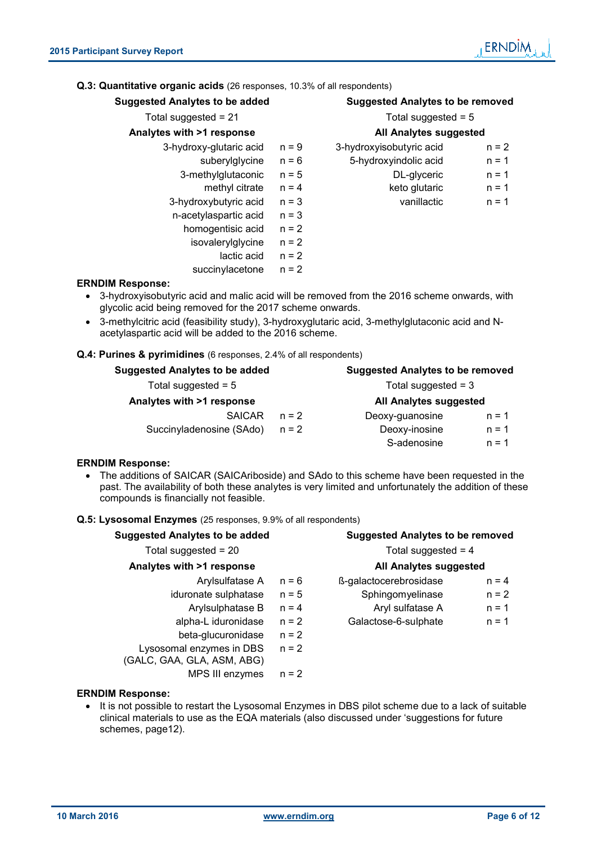#### **Q.3: Quantitative organic acids** (26 responses, 10.3% of all respondents)

| <b>Suggested Analytes to be added</b> |         | <b>Suggested Analytes to be removed</b> |         |
|---------------------------------------|---------|-----------------------------------------|---------|
| Total suggested = $21$                |         | Total suggested = $5$                   |         |
| Analytes with >1 response             |         | <b>All Analytes suggested</b>           |         |
| 3-hydroxy-glutaric acid               | $n = 9$ | 3-hydroxyisobutyric acid                | $n = 2$ |
| suberylglycine                        | $n = 6$ | 5-hydroxyindolic acid                   | $n = 1$ |
| 3-methylglutaconic                    | $n = 5$ | DL-glyceric                             | $n = 1$ |
| methyl citrate                        | $n = 4$ | keto glutaric                           | $n = 1$ |
| 3-hydroxybutyric acid                 | $n = 3$ | vanillactic                             | $n = 1$ |
| n-acetylaspartic acid                 | $n = 3$ |                                         |         |
| homogentisic acid                     | $n = 2$ |                                         |         |
| isovalerylglycine                     | $n = 2$ |                                         |         |
| lactic acid                           | $n = 2$ |                                         |         |
| succinylacetone                       | $n = 2$ |                                         |         |

#### **ERNDIM Response:**

- 3-hydroxyisobutyric acid and malic acid will be removed from the 2016 scheme onwards, with glycolic acid being removed for the 2017 scheme onwards.
- 3-methylcitric acid (feasibility study), 3-hydroxyglutaric acid, 3-methylglutaconic acid and Nacetylaspartic acid will be added to the 2016 scheme.

#### **Q.4: Purines & pyrimidines** (6 responses, 2.4% of all respondents)

| <b>Suggested Analytes to be added</b> |         | <b>Suggested Analytes to be removed</b> |         |
|---------------------------------------|---------|-----------------------------------------|---------|
| Total suggested = $5$                 |         | Total suggested $=$ 3                   |         |
| Analytes with >1 response             |         | All Analytes suggested                  |         |
| <b>SAICAR</b>                         | $n = 2$ | Deoxy-guanosine                         | $n = 1$ |
| Succinyladenosine (SAdo)              | $n = 2$ | Deoxy-inosine                           | $n = 1$ |
|                                       |         | S-adenosine                             | $n = 1$ |

#### **ERNDIM Response:**

 The additions of SAICAR (SAICAriboside) and SAdo to this scheme have been requested in the past. The availability of both these analytes is very limited and unfortunately the addition of these compounds is financially not feasible.

#### **Q.5: Lysosomal Enzymes** (25 responses, 9.9% of all respondents)

| <b>Suggested Analytes to be added</b>                  |         | <b>Suggested Analytes to be removed</b> |         |
|--------------------------------------------------------|---------|-----------------------------------------|---------|
| Total suggested = $20$                                 |         | Total suggested $= 4$                   |         |
| Analytes with >1 response                              |         | All Analytes suggested                  |         |
| Arylsulfatase A                                        | $n = 6$ | ß-galactocerebrosidase                  | $n = 4$ |
| iduronate sulphatase                                   | $n = 5$ | Sphingomyelinase                        | $n = 2$ |
| Arylsulphatase B                                       | $n = 4$ | Aryl sulfatase A                        | $n = 1$ |
| alpha-L iduronidase                                    | $n = 2$ | Galactose-6-sulphate                    | $n = 1$ |
| beta-glucuronidase                                     | $n = 2$ |                                         |         |
| Lysosomal enzymes in DBS<br>(GALC, GAA, GLA, ASM, ABG) | $n = 2$ |                                         |         |
| MPS III enzymes                                        | $n = 2$ |                                         |         |

#### **ERNDIM Response:**

• It is not possible to restart the Lysosomal Enzymes in DBS pilot scheme due to a lack of suitable clinical materials to use as the EQA materials (also discussed under 'suggestions for future schemes, page12).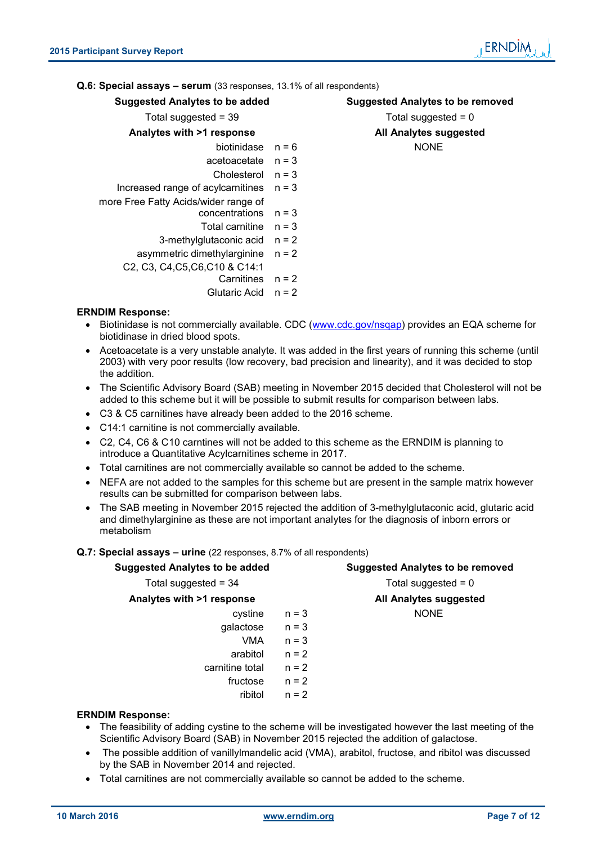#### **Q.6: Special assays – serum** (33 responses, 13.1% of all respondents)

| <b>Suggested Analytes to be added</b> |         | <b>Suggested Analytes to be removed</b> |
|---------------------------------------|---------|-----------------------------------------|
| Total suggested = $39$                |         | Total suggested $= 0$                   |
| Analytes with >1 response             |         | All Analytes suggested                  |
| biotinidase $n = 6$                   |         | <b>NONE</b>                             |
| $acceloacetate$ $n = 3$               |         |                                         |
| Cholesterol                           | $n = 3$ |                                         |
| Increased range of acylcarnitines     | $n = 3$ |                                         |
| more Free Fatty Acids/wider range of  |         |                                         |
| concentrations                        | $n = 3$ |                                         |
| Total carnitine $n = 3$               |         |                                         |
| 3-methylglutaconic acid               | $n = 2$ |                                         |
| asymmetric dimethylarginine           | $n = 2$ |                                         |
| C2, C3, C4, C5, C6, C10 & C14:1       |         |                                         |
| Carnitines                            | $n = 2$ |                                         |
| Glutaric Acid                         | $n = 2$ |                                         |
|                                       |         |                                         |

#### **ERNDIM Response:**

- Biotinidase is not commercially available. CDC (www.cdc.gov/nsqap) provides an EQA scheme for biotidinase in dried blood spots.
- Acetoacetate is a very unstable analyte. It was added in the first years of running this scheme (until 2003) with very poor results (low recovery, bad precision and linearity), and it was decided to stop the addition.
- The Scientific Advisory Board (SAB) meeting in November 2015 decided that Cholesterol will not be added to this scheme but it will be possible to submit results for comparison between labs.
- C3 & C5 carnitines have already been added to the 2016 scheme.
- C14:1 carnitine is not commercially available.
- C2, C4, C6 & C10 carntines will not be added to this scheme as the ERNDIM is planning to introduce a Quantitative Acylcarnitines scheme in 2017.
- Total carnitines are not commercially available so cannot be added to the scheme.
- NEFA are not added to the samples for this scheme but are present in the sample matrix however results can be submitted for comparison between labs.
- The SAB meeting in November 2015 rejected the addition of 3-methylglutaconic acid, glutaric acid and dimethylarginine as these are not important analytes for the diagnosis of inborn errors or metabolism

#### **Q.7: Special assays – urine** (22 responses, 8.7% of all respondents)

| <b>Suggested Analytes to be added</b> |         | <b>Suggested Analytes to be removed</b> |
|---------------------------------------|---------|-----------------------------------------|
| Total suggested = $34$                |         | Total suggested = $0$                   |
| Analytes with >1 response             |         | All Analytes suggested                  |
| cystine                               | $n = 3$ | <b>NONE</b>                             |
| galactose                             | $n = 3$ |                                         |
| <b>VMA</b>                            | $n = 3$ |                                         |
| arabitol                              | $n = 2$ |                                         |
| carnitine total                       | $n = 2$ |                                         |
| fructose                              | $n = 2$ |                                         |
| ribitol                               | $n = 2$ |                                         |
| <b>ERNDIM Response:</b>               |         |                                         |

- The feasibility of adding cystine to the scheme will be investigated however the last meeting of the Scientific Advisory Board (SAB) in November 2015 rejected the addition of galactose.
- The possible addition of vanillylmandelic acid (VMA), arabitol, fructose, and ribitol was discussed by the SAB in November 2014 and rejected.
- Total carnitines are not commercially available so cannot be added to the scheme.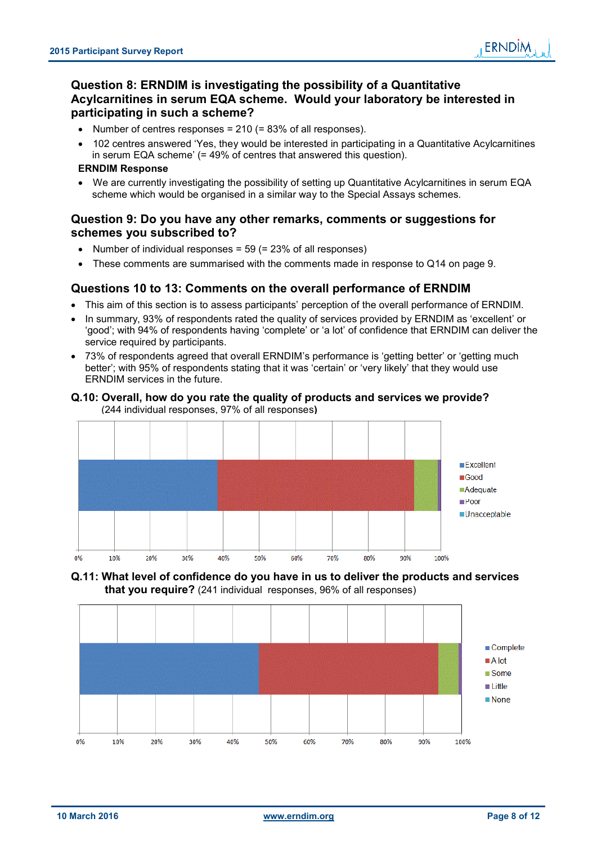#### **Question 8: ERNDIM is investigating the possibility of a Quantitative Acylcarnitines in serum EQA scheme. Would your laboratory be interested in participating in such a scheme?**

- Number of centres responses =  $210$  (=  $83\%$  of all responses).
- 102 centres answered 'Yes, they would be interested in participating in a Quantitative Acylcarnitines in serum EQA scheme' (= 49% of centres that answered this question).

#### **ERNDIM Response**

We are currently investigating the possibility of setting up Quantitative Acylcarnitines in serum EQA scheme which would be organised in a similar way to the Special Assays schemes.

#### **Question 9: Do you have any other remarks, comments or suggestions for schemes you subscribed to?**

- Number of individual responses =  $59$  (=  $23\%$  of all responses)
- These comments are summarised with the comments made in response to Q14 on page 9.

#### **Questions 10 to 13: Comments on the overall performance of ERNDIM**

- This aim of this section is to assess participants' perception of the overall performance of ERNDIM.
- In summary, 93% of respondents rated the quality of services provided by ERNDIM as 'excellent' or 'good'; with 94% of respondents having 'complete' or 'a lot' of confidence that ERNDIM can deliver the service required by participants.
- 73% of respondents agreed that overall ERNDIM's performance is 'getting better' or 'getting much better'; with 95% of respondents stating that it was 'certain' or 'very likely' that they would use ERNDIM services in the future.
- **Q.10: Overall, how do you rate the quality of products and services we provide?** (244 individual responses, 97% of all responses**)**





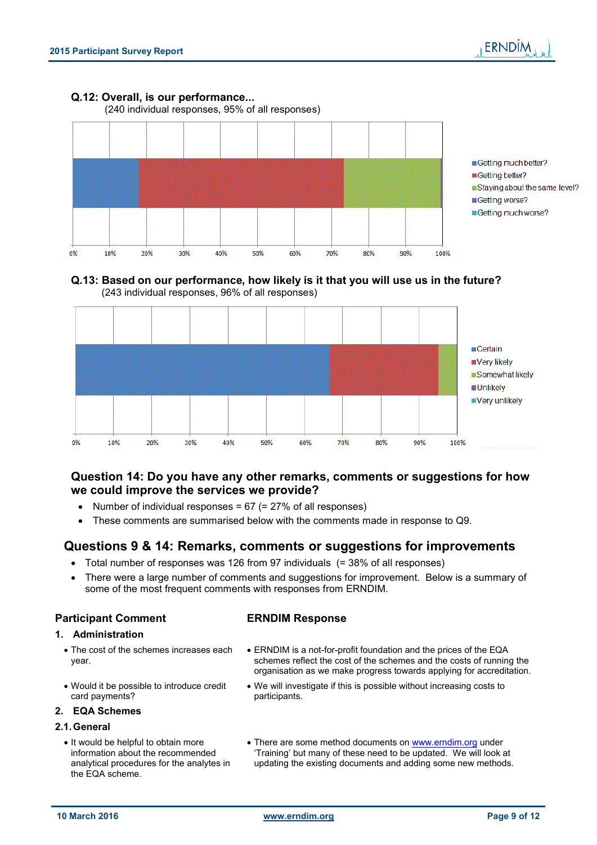#### **Q.12: Overall, is our performance...**

(240 individual responses, 95% of all responses)



Getting much better? Getting better? Staying about the same level? ■Getting worse? Getting much worse?

#### **Q.13: Based on our performance, how likely is it that you will use us in the future?** (243 individual responses, 96% of all responses)



#### **Question 14: Do you have any other remarks, comments or suggestions for how we could improve the services we provide?**

- Number of individual responses = 67 (= 27% of all responses)
- These comments are summarised below with the comments made in response to Q9.

#### **Questions 9 & 14: Remarks, comments or suggestions for improvements**

- Total number of responses was 126 from 97 individuals (= 38% of all responses)
- There were a large number of comments and suggestions for improvement. Below is a summary of some of the most frequent comments with responses from ERNDIM.

#### **Participant Comment ERNDIM Response**

- **1. Administration**
	- The cost of the schemes increases each year.
	- Would it be possible to introduce credit card payments?

#### **2. EQA Schemes**

#### **2.1. General**

- It would be helpful to obtain more information about the recommended analytical procedures for the analytes in the EQA scheme.
- ERNDIM is a not-for-profit foundation and the prices of the EQA schemes reflect the cost of the schemes and the costs of running the organisation as we make progress towards applying for accreditation.
- We will investigate if this is possible without increasing costs to participants.
- There are some method documents on www.erndim.org under 'Training' but many of these need to be updated. We will look at updating the existing documents and adding some new methods.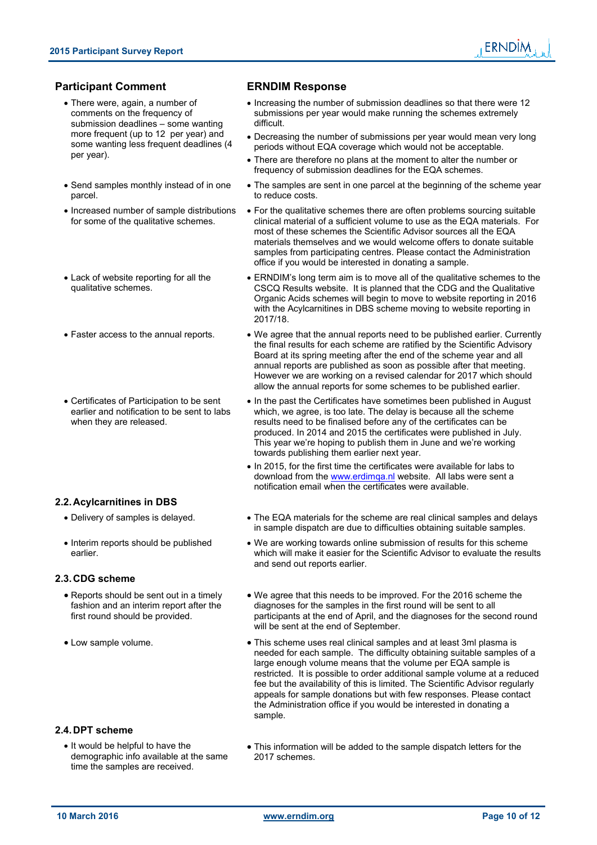#### **Participant Comment ERNDIM Response**

- There were, again, a number of comments on the frequency of submission deadlines – some wanting more frequent (up to 12 per year) and some wanting less frequent deadlines (4 per year).
- Send samples monthly instead of in one parcel.
- Increased number of sample distributions for some of the qualitative schemes.
- Lack of website reporting for all the qualitative schemes.
- 
- Certificates of Participation to be sent earlier and notification to be sent to labs when they are released.

#### **2.2. Acylcarnitines in DBS**

- 
- Interim reports should be published earlier.

#### **2.3. CDG scheme**

- Reports should be sent out in a timely fashion and an interim report after the first round should be provided.
- 

#### **2.4. DPT scheme**

• It would be helpful to have the demographic info available at the same time the samples are received.

- Increasing the number of submission deadlines so that there were 12 submissions per year would make running the schemes extremely difficult.
- Decreasing the number of submissions per year would mean very long periods without EQA coverage which would not be acceptable.
- There are therefore no plans at the moment to alter the number or frequency of submission deadlines for the EQA schemes.
- The samples are sent in one parcel at the beginning of the scheme year to reduce costs.
- For the qualitative schemes there are often problems sourcing suitable clinical material of a sufficient volume to use as the EQA materials. For most of these schemes the Scientific Advisor sources all the EQA materials themselves and we would welcome offers to donate suitable samples from participating centres. Please contact the Administration office if you would be interested in donating a sample.
- ERNDIM's long term aim is to move all of the qualitative schemes to the CSCQ Results website. It is planned that the CDG and the Qualitative Organic Acids schemes will begin to move to website reporting in 2016 with the Acylcarnitines in DBS scheme moving to website reporting in 2017/18.
- Faster access to the annual reports. We agree that the annual reports need to be published earlier. Currently the final results for each scheme are ratified by the Scientific Advisory Board at its spring meeting after the end of the scheme year and all annual reports are published as soon as possible after that meeting. However we are working on a revised calendar for 2017 which should allow the annual reports for some schemes to be published earlier.
	- In the past the Certificates have sometimes been published in August which, we agree, is too late. The delay is because all the scheme results need to be finalised before any of the certificates can be produced. In 2014 and 2015 the certificates were published in July. This year we're hoping to publish them in June and we're working towards publishing them earlier next year.
	- In 2015, for the first time the certificates were available for labs to download from the www.erdimqa.nl website. All labs were sent a notification email when the certificates were available.
- Delivery of samples is delayed. The EQA materials for the scheme are real clinical samples and delays in sample dispatch are due to difficulties obtaining suitable samples.
	- We are working towards online submission of results for this scheme which will make it easier for the Scientific Advisor to evaluate the results and send out reports earlier.
	- We agree that this needs to be improved. For the 2016 scheme the diagnoses for the samples in the first round will be sent to all participants at the end of April, and the diagnoses for the second round will be sent at the end of September.
- Low sample volume.  $\bullet$  This scheme uses real clinical samples and at least 3ml plasma is needed for each sample. The difficulty obtaining suitable samples of a large enough volume means that the volume per EQA sample is restricted. It is possible to order additional sample volume at a reduced fee but the availability of this is limited. The Scientific Advisor regularly appeals for sample donations but with few responses. Please contact the Administration office if you would be interested in donating a sample.
	- This information will be added to the sample dispatch letters for the 2017 schemes.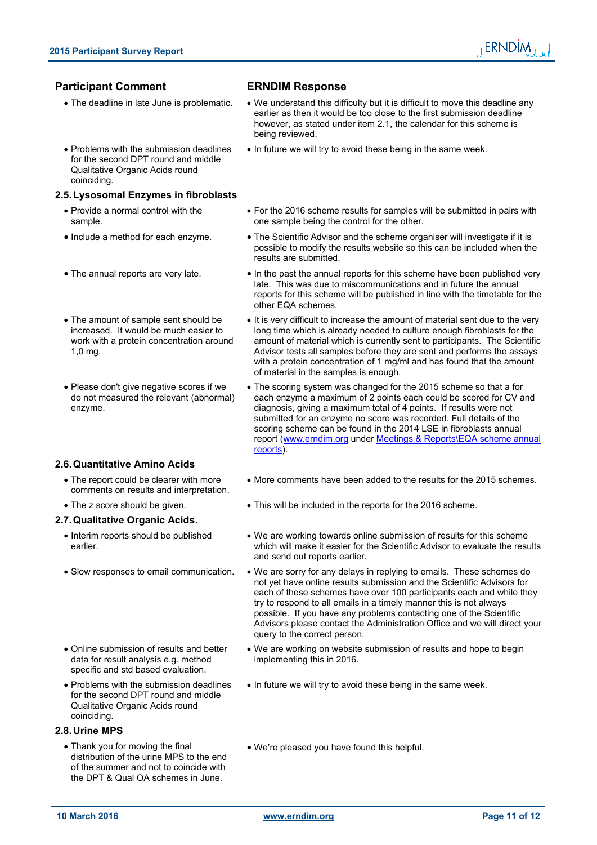## ERNDIM

### **Participant Comment ERNDIM Response**

- The deadline in late June is problematic. We understand this difficulty but it is difficult to move this deadline any earlier as then it would be too close to the first submission deadline however, as stated under item 2.1, the calendar for this scheme is being reviewed.
	- In future we will try to avoid these being in the same week.
- Problems with the submission deadlines for the second DPT round and middle Qualitative Organic Acids round coinciding.

#### **2.5. Lysosomal Enzymes in fibroblasts**

- Provide a normal control with the sample.
- 
- 
- The amount of sample sent should be increased. It would be much easier to work with a protein concentration around 1,0 mg.
- Please don't give negative scores if we do not measured the relevant (abnormal) enzyme.

#### **2.6. Quantitative Amino Acids**

- The report could be clearer with more comments on results and interpretation.
- 

#### **2.7. Qualitative Organic Acids.**

- Interim reports should be published earlier.
- 
- Online submission of results and better data for result analysis e.g. method specific and std based evaluation.
- Problems with the submission deadlines for the second DPT round and middle Qualitative Organic Acids round coinciding.

#### **2.8. Urine MPS**

• Thank you for moving the final distribution of the urine MPS to the end of the summer and not to coincide with the DPT & Qual OA schemes in June.

- For the 2016 scheme results for samples will be submitted in pairs with one sample being the control for the other.
- Include a method for each enzyme. The Scientific Advisor and the scheme organiser will investigate if it is possible to modify the results website so this can be included when the results are submitted.
- The annual reports are very late. In the past the annual reports for this scheme have been published very late. This was due to miscommunications and in future the annual reports for this scheme will be published in line with the timetable for the other EQA schemes.
	- It is very difficult to increase the amount of material sent due to the very long time which is already needed to culture enough fibroblasts for the amount of material which is currently sent to participants. The Scientific Advisor tests all samples before they are sent and performs the assays with a protein concentration of 1 mg/ml and has found that the amount of material in the samples is enough.
	- The scoring system was changed for the 2015 scheme so that a for each enzyme a maximum of 2 points each could be scored for CV and diagnosis, giving a maximum total of 4 points. If results were not submitted for an enzyme no score was recorded. Full details of the scoring scheme can be found in the 2014 LSE in fibroblasts annual report (www.erndim.org under Meetings & Reports\EQA scheme annual reports).
	- More comments have been added to the results for the 2015 schemes.
- This will be included in the reports for the 2016 scheme.
	- We are working towards online submission of results for this scheme which will make it easier for the Scientific Advisor to evaluate the results and send out reports earlier.
- Slow responses to email communication. We are sorry for any delays in replying to emails. These schemes do not yet have online results submission and the Scientific Advisors for each of these schemes have over 100 participants each and while they try to respond to all emails in a timely manner this is not always possible. If you have any problems contacting one of the Scientific Advisors please contact the Administration Office and we will direct your query to the correct person.
	- We are working on website submission of results and hope to begin implementing this in 2016.
	- In future we will try to avoid these being in the same week.
	- We're pleased you have found this helpful.